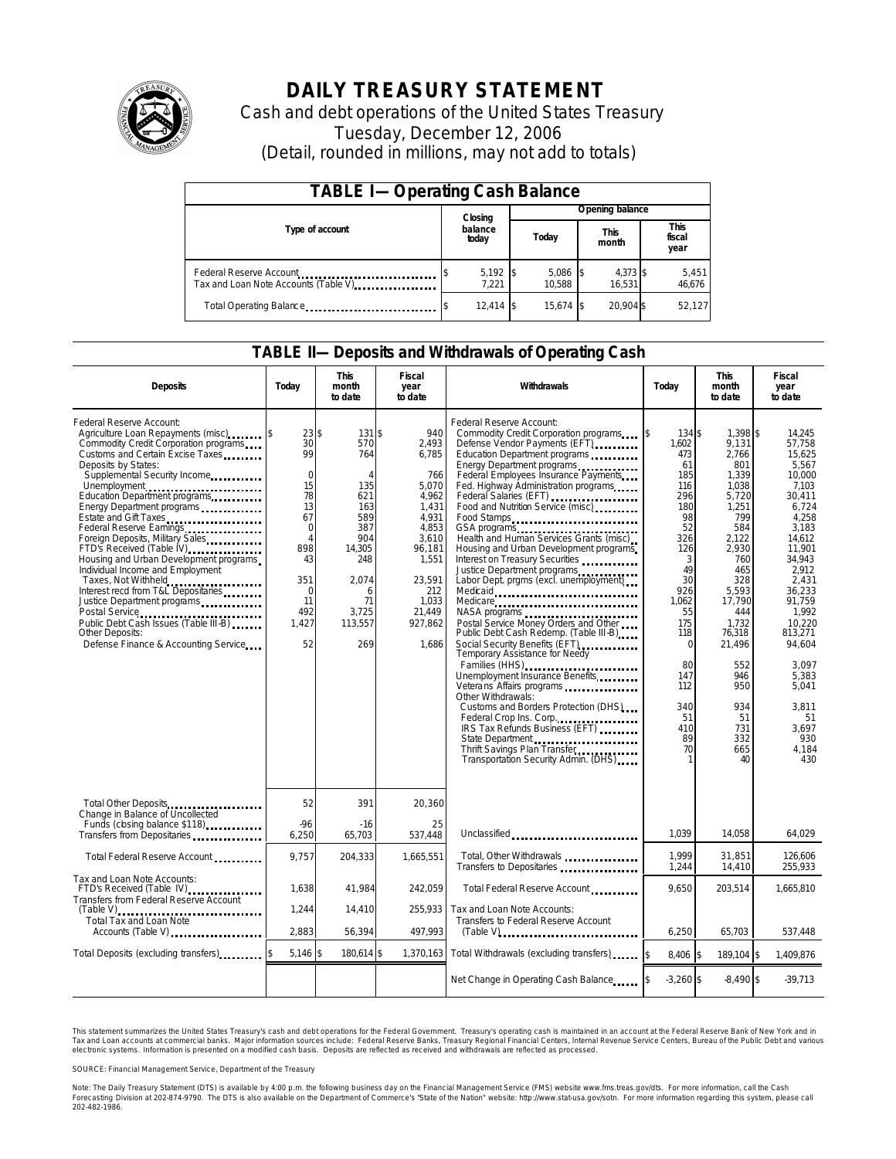

## **DAILY TREASURY STATEMENT**

Cash and debt operations of the United States Treasury Tuesday, December 12, 2006 (Detail, rounded in millions, may not add to totals)

| <b>TABLE I-Operating Cash Balance</b>                            |  |                     |  |                 |  |                      |  |                               |  |
|------------------------------------------------------------------|--|---------------------|--|-----------------|--|----------------------|--|-------------------------------|--|
|                                                                  |  | Closing             |  | Opening balance |  |                      |  |                               |  |
| Type of account                                                  |  | balance<br>today    |  | Today           |  | <b>This</b><br>month |  | <b>This</b><br>fiscal<br>year |  |
| Federal Reserve Account<br>Tax and Loan Note Accounts (Table V). |  | $5,192$ \$<br>7.221 |  | 5,086<br>10.588 |  | 4,373 \$<br>16.531   |  | 5,451<br>46,676               |  |
| Total Operating Balance                                          |  | $12.414$ \\$        |  | 15.674 \$       |  | 20.904 \$            |  | 52.127                        |  |

### **TABLE II—Deposits and Withdrawals of Operating Cash**

| <b>Deposits</b>                                                                                                                                                                                                                                                                                                                                                                                                                                                                                                                                                                                                                                                                            | Today                                                                                                                                                              | <b>This</b><br>month<br>to date                                                                                                                | Fiscal<br>year<br>to date                                                                                                                                     | <b>Withdrawals</b>                                                                                                                                                                                                                                                                                                                                                                                                                                                                                                                                                                                                                                                                                                                                                                                                                                                                                                                                                                                                                      | <b>This</b><br>Today<br>month<br>to date                                                                                                                                                                |                                                                                                                                                                                                                                                | <b>Fiscal</b><br>year<br>to date                                                                                                                                                                                                                                                  |
|--------------------------------------------------------------------------------------------------------------------------------------------------------------------------------------------------------------------------------------------------------------------------------------------------------------------------------------------------------------------------------------------------------------------------------------------------------------------------------------------------------------------------------------------------------------------------------------------------------------------------------------------------------------------------------------------|--------------------------------------------------------------------------------------------------------------------------------------------------------------------|------------------------------------------------------------------------------------------------------------------------------------------------|---------------------------------------------------------------------------------------------------------------------------------------------------------------|-----------------------------------------------------------------------------------------------------------------------------------------------------------------------------------------------------------------------------------------------------------------------------------------------------------------------------------------------------------------------------------------------------------------------------------------------------------------------------------------------------------------------------------------------------------------------------------------------------------------------------------------------------------------------------------------------------------------------------------------------------------------------------------------------------------------------------------------------------------------------------------------------------------------------------------------------------------------------------------------------------------------------------------------|---------------------------------------------------------------------------------------------------------------------------------------------------------------------------------------------------------|------------------------------------------------------------------------------------------------------------------------------------------------------------------------------------------------------------------------------------------------|-----------------------------------------------------------------------------------------------------------------------------------------------------------------------------------------------------------------------------------------------------------------------------------|
| Federal Reserve Account:<br>Agriculture Loan Repayments (misc)<br>Commodity Credit Corporation programs<br>Customs and Certain Excise Taxes<br>Deposits by States:<br>Supplemental Security Income<br>Unemployment<br>Education Department programs<br>Energy Department programs<br>Estate and Gift Taxes<br><br>Federal Reserve Earnings<br>Foreign Deposits, Military Sales<br>FTD's Received (Table IV)<br>Housing and Urban Development programs<br>Individual Income and Employment<br>Taxes, Not Withheld<br>Interest recd from T&L Depositaries<br>Justice Department programs<br>Public Debt Cash Issues (Table III-B)<br>Other Deposits:<br>Defense Finance & Accounting Service | 23 \$<br>$\overline{30}$<br>99<br>$\mathbf 0$<br>15<br>78<br>13<br>67<br>$\mathbf 0$<br>$\overline{A}$<br>898<br>43<br>351<br>$\Omega$<br>11<br>492<br>1,427<br>52 | 131S<br>570<br>764<br>$\overline{4}$<br>135<br>621<br>163<br>589<br>387<br>904<br>14,305<br>248<br>2.074<br>6<br>71<br>3,725<br>113,557<br>269 | 940<br>2,493<br>6,785<br>766<br>5,070<br>4,962<br>1,431<br>4.931<br>4,853<br>3.610<br>96,181<br>1,551<br>23.591<br>212<br>1,033<br>21,449<br>927,862<br>1,686 | Federal Reserve Account:<br>Commodity Credit Corporation programs \ \ \ \ \<br>Defense Vendor Payments (EFT)<br>Education Department programs<br>Energy Department programs<br>Federal Employees Insurance Payments<br>Fed. Highway Administration programs<br>Federal Salaries (EFT)<br>Food and Nutrition Service (misc)<br>Food Stamps<br>Health and Human Services Grants (misc)<br>Housing and Urban Development programs<br>Interest on Treasury Securities<br>Justice Department programs<br>Labor Dept. prgms (excl. unemployment)<br>Medicare<br>NASA programs<br>Postal Service Money Orders and Other<br>Public Debt Cash Redemp. (Table III-B)<br>Social Security Benefits (EFT)<br>Temporary Assistance for Needy<br>Families (HHS)<br>Unemployment Insurance Benefits<br>Veterans Affairs programs<br>Other Withdrawals:<br>Customs and Borders Protection (DHS)<br>Federal Crop Ins. Corp.<br>IRS Tax Refunds Business (EFT)<br>State Department<br>Thrift Savings Plan Transfer<br>Transportation Security Admin. (DHS) | 134 \$<br>1.602<br>473<br>61<br>185<br>116<br>296<br>180<br>98<br>52<br>326<br>126<br>3<br>49<br>30<br>926<br>1,062<br>55<br>175<br>118<br>$\Omega$<br>80<br>147<br>112<br>340<br>51<br>410<br>89<br>70 | 1.398 \$<br>9,131<br>2,766<br>801<br>1,339<br>1,038<br>5,720<br>1,251<br>799<br>584<br>2.122<br>2,930<br>760<br>465<br>328<br>5.593<br>17,790<br>444<br>1,732<br>76,318<br>21,496<br>552<br>946<br>950<br>934<br>51<br>731<br>332<br>665<br>40 | 14,245<br>57.758<br>15.625<br>5.567<br>10,000<br>7.103<br>30,411<br>6,724<br>4.258<br>3,183<br>14.612<br>11,901<br>34.943<br>2.912<br>2.431<br>36.233<br>91,759<br>1.992<br>10.220<br>813,271<br>94,604<br>3.097<br>5,383<br>5.041<br>3.811<br>51<br>3.697<br>930<br>4,184<br>430 |
| Total Other Deposits<br>Change in Balance of Uncollected<br>Funds (closing balance \$118)                                                                                                                                                                                                                                                                                                                                                                                                                                                                                                                                                                                                  | 52<br>$-96$                                                                                                                                                        | 391<br>$-16$                                                                                                                                   | 20,360<br>25                                                                                                                                                  |                                                                                                                                                                                                                                                                                                                                                                                                                                                                                                                                                                                                                                                                                                                                                                                                                                                                                                                                                                                                                                         |                                                                                                                                                                                                         |                                                                                                                                                                                                                                                |                                                                                                                                                                                                                                                                                   |
| Transfers from Depositaries                                                                                                                                                                                                                                                                                                                                                                                                                                                                                                                                                                                                                                                                | 6,250                                                                                                                                                              | 65,703                                                                                                                                         | 537.448                                                                                                                                                       | Unclassified                                                                                                                                                                                                                                                                                                                                                                                                                                                                                                                                                                                                                                                                                                                                                                                                                                                                                                                                                                                                                            | 1.039                                                                                                                                                                                                   | 14.058                                                                                                                                                                                                                                         | 64,029                                                                                                                                                                                                                                                                            |
| Total Federal Reserve Account                                                                                                                                                                                                                                                                                                                                                                                                                                                                                                                                                                                                                                                              | 9.757                                                                                                                                                              | 204,333                                                                                                                                        | 1.665.551                                                                                                                                                     | Total, Other Withdrawals<br>Transfers to Depositaries                                                                                                                                                                                                                                                                                                                                                                                                                                                                                                                                                                                                                                                                                                                                                                                                                                                                                                                                                                                   | 1.999<br>1,244                                                                                                                                                                                          | 31,851<br>14,410                                                                                                                                                                                                                               | 126,606<br>255,933                                                                                                                                                                                                                                                                |
| Tax and Loan Note Accounts:<br>FTD's Received (Table IV)<br>Transfers from Federal Reserve Account                                                                                                                                                                                                                                                                                                                                                                                                                                                                                                                                                                                         | 1.638                                                                                                                                                              | 41.984                                                                                                                                         | 242.059                                                                                                                                                       | Total Federal Reserve Account                                                                                                                                                                                                                                                                                                                                                                                                                                                                                                                                                                                                                                                                                                                                                                                                                                                                                                                                                                                                           | 9.650                                                                                                                                                                                                   | 203,514                                                                                                                                                                                                                                        | 1.665.810                                                                                                                                                                                                                                                                         |
| $(Table V)$<br>.<br>Total Tax and Loan Note<br>Accounts (Table V)                                                                                                                                                                                                                                                                                                                                                                                                                                                                                                                                                                                                                          | 1,244<br>2,883                                                                                                                                                     | 14,410<br>56,394                                                                                                                               | 255,933<br>497,993                                                                                                                                            | Tax and Loan Note Accounts:<br>Transfers to Federal Reserve Account                                                                                                                                                                                                                                                                                                                                                                                                                                                                                                                                                                                                                                                                                                                                                                                                                                                                                                                                                                     | 6,250                                                                                                                                                                                                   | 65,703                                                                                                                                                                                                                                         | 537,448                                                                                                                                                                                                                                                                           |
| Total Deposits (excluding transfers)                                                                                                                                                                                                                                                                                                                                                                                                                                                                                                                                                                                                                                                       | $5,146$ \$                                                                                                                                                         | 180,614 \$                                                                                                                                     | 1,370,163                                                                                                                                                     | Total Withdrawals (excluding transfers)                                                                                                                                                                                                                                                                                                                                                                                                                                                                                                                                                                                                                                                                                                                                                                                                                                                                                                                                                                                                 | 8,406 \$                                                                                                                                                                                                | 189,104 \$                                                                                                                                                                                                                                     | 1,409,876                                                                                                                                                                                                                                                                         |
|                                                                                                                                                                                                                                                                                                                                                                                                                                                                                                                                                                                                                                                                                            |                                                                                                                                                                    |                                                                                                                                                |                                                                                                                                                               | Net Change in Operating Cash Balance                                                                                                                                                                                                                                                                                                                                                                                                                                                                                                                                                                                                                                                                                                                                                                                                                                                                                                                                                                                                    | $-3,260$ \$                                                                                                                                                                                             | $-8,490$ \$                                                                                                                                                                                                                                    | $-39,713$                                                                                                                                                                                                                                                                         |

This statement summarizes the United States Treasury's cash and debt operations for the Federal Government. Treasury's operating cash is maintained in an account at the Federal Reserve Bank of New York and in Tax and Loan accounts at commercial banks. Major information sources include: Federal Reserve Banks, Treasury Regional Financial Centers, Internal Revenue Service Centers, Bureau of the Public Debt and various<br>electronic s

SOURCE: Financial Management Service, Department of the Treasury

Note: The Daily Treasury Statement (DTS) is available by 4:00 p.m. the following business day on the Financial Management Service (FMS) website www.fms.treas.gov/dts.<br>Forecasting Division at 202-874-9790. The DTS is also a ΓS) is available by 4:00 p.m. the following business day on the Financial Management Service (FMS) website www.fms.treas.gov/dts. For more information, call the Cash<br>The DTS is also available on the Department of Commerce